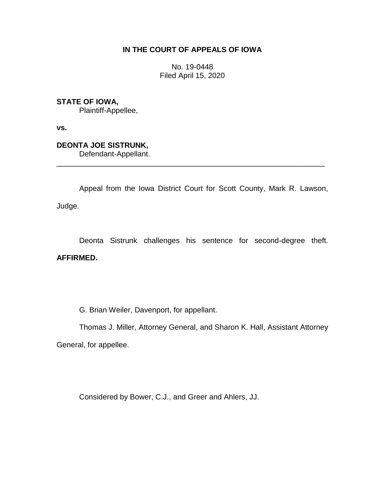## **IN THE COURT OF APPEALS OF IOWA**

No. 19-0448 Filed April 15, 2020

**STATE OF IOWA,**

Plaintiff-Appellee,

**vs.**

# **DEONTA JOE SISTRUNK,**

Defendant-Appellant.

Appeal from the Iowa District Court for Scott County, Mark R. Lawson, Judge.

\_\_\_\_\_\_\_\_\_\_\_\_\_\_\_\_\_\_\_\_\_\_\_\_\_\_\_\_\_\_\_\_\_\_\_\_\_\_\_\_\_\_\_\_\_\_\_\_\_\_\_\_\_\_\_\_\_\_\_\_\_\_\_\_

Deonta Sistrunk challenges his sentence for second-degree theft.

### **AFFIRMED.**

G. Brian Weiler, Davenport, for appellant.

Thomas J. Miller, Attorney General, and Sharon K. Hall, Assistant Attorney General, for appellee.

Considered by Bower, C.J., and Greer and Ahlers, JJ.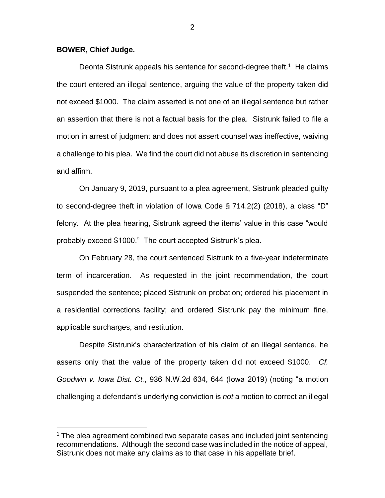#### **BOWER, Chief Judge.**

 $\overline{a}$ 

Deonta Sistrunk appeals his sentence for second-degree theft.<sup>1</sup> He claims the court entered an illegal sentence, arguing the value of the property taken did not exceed \$1000. The claim asserted is not one of an illegal sentence but rather an assertion that there is not a factual basis for the plea. Sistrunk failed to file a motion in arrest of judgment and does not assert counsel was ineffective, waiving a challenge to his plea. We find the court did not abuse its discretion in sentencing and affirm.

On January 9, 2019, pursuant to a plea agreement, Sistrunk pleaded guilty to second-degree theft in violation of Iowa Code § 714.2(2) (2018), a class "D" felony. At the plea hearing, Sistrunk agreed the items' value in this case "would probably exceed \$1000." The court accepted Sistrunk's plea.

On February 28, the court sentenced Sistrunk to a five-year indeterminate term of incarceration. As requested in the joint recommendation, the court suspended the sentence; placed Sistrunk on probation; ordered his placement in a residential corrections facility; and ordered Sistrunk pay the minimum fine, applicable surcharges, and restitution.

Despite Sistrunk's characterization of his claim of an illegal sentence, he asserts only that the value of the property taken did not exceed \$1000. *Cf. Goodwin v. Iowa Dist. Ct.*, 936 N.W.2d 634, 644 (Iowa 2019) (noting "a motion challenging a defendant's underlying conviction is *not* a motion to correct an illegal

 $1$  The plea agreement combined two separate cases and included joint sentencing recommendations. Although the second case was included in the notice of appeal, Sistrunk does not make any claims as to that case in his appellate brief.